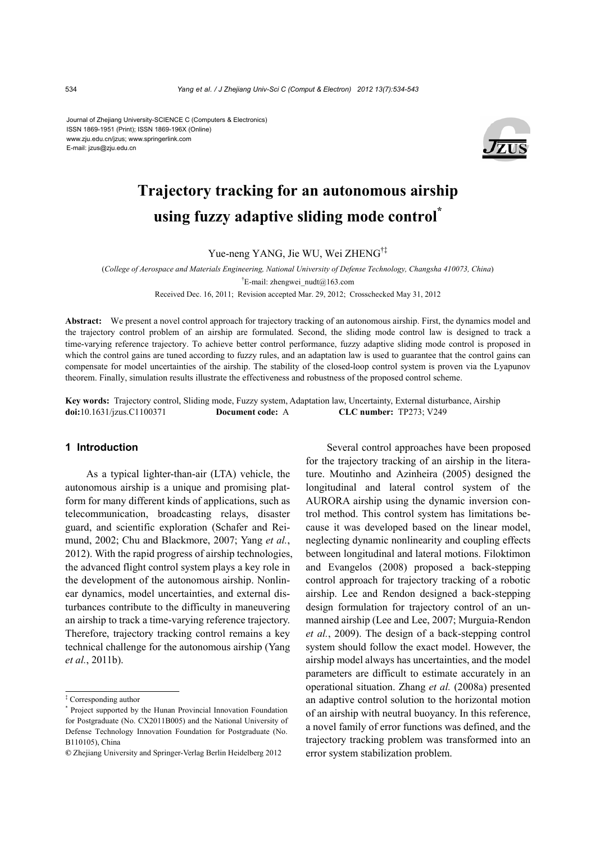Journal of Zhejiang University-SCIENCE C (Computers & Electronics) ISSN 1869-1951 (Print); ISSN 1869-196X (Online) www.zju.edu.cn/jzus; www.springerlink.com E-mail: jzus@zju.edu.cn



# **Trajectory tracking for an autonomous airship using fuzzy adaptive sliding mode control\***

Yue-neng YANG, Jie WU, Wei ZHENG†‡

(*College of Aerospace and Materials Engineering, National University of Defense Technology, Changsha 410073, China*) <sup>†</sup>E-mail: zhengwei\_nudt@163.com

Received Dec. 16, 2011; Revision accepted Mar. 29, 2012; Crosschecked May 31, 2012

**Abstract:** We present a novel control approach for trajectory tracking of an autonomous airship. First, the dynamics model and the trajectory control problem of an airship are formulated. Second, the sliding mode control law is designed to track a time-varying reference trajectory. To achieve better control performance, fuzzy adaptive sliding mode control is proposed in which the control gains are tuned according to fuzzy rules, and an adaptation law is used to guarantee that the control gains can compensate for model uncertainties of the airship. The stability of the closed-loop control system is proven via the Lyapunov theorem. Finally, simulation results illustrate the effectiveness and robustness of the proposed control scheme.

**Key words:** Trajectory control, Sliding mode, Fuzzy system, Adaptation law, Uncertainty, External disturbance, Airship **doi:**10.1631/jzus.C1100371 **Document code:** A **CLC number:** TP273; V249

# **1 Introduction**

As a typical lighter-than-air (LTA) vehicle, the autonomous airship is a unique and promising platform for many different kinds of applications, such as telecommunication, broadcasting relays, disaster guard, and scientific exploration (Schafer and Reimund, 2002; Chu and Blackmore, 2007; Yang *et al.*, 2012). With the rapid progress of airship technologies, the advanced flight control system plays a key role in the development of the autonomous airship. Nonlinear dynamics, model uncertainties, and external disturbances contribute to the difficulty in maneuvering an airship to track a time-varying reference trajectory. Therefore, trajectory tracking control remains a key technical challenge for the autonomous airship (Yang *et al.*, 2011b).

Several control approaches have been proposed for the trajectory tracking of an airship in the literature. Moutinho and Azinheira (2005) designed the longitudinal and lateral control system of the AURORA airship using the dynamic inversion control method. This control system has limitations because it was developed based on the linear model, neglecting dynamic nonlinearity and coupling effects between longitudinal and lateral motions. Filoktimon and Evangelos (2008) proposed a back-stepping control approach for trajectory tracking of a robotic airship. Lee and Rendon designed a back-stepping design formulation for trajectory control of an unmanned airship (Lee and Lee, 2007; Murguia-Rendon *et al.*, 2009). The design of a back-stepping control system should follow the exact model. However, the airship model always has uncertainties, and the model parameters are difficult to estimate accurately in an operational situation. Zhang *et al.* (2008a) presented an adaptive control solution to the horizontal motion of an airship with neutral buoyancy. In this reference, a novel family of error functions was defined, and the trajectory tracking problem was transformed into an error system stabilization problem.

<sup>‡</sup> Corresponding author

<sup>\*</sup> Project supported by the Hunan Provincial Innovation Foundation for Postgraduate (No. CX2011B005) and the National University of Defense Technology Innovation Foundation for Postgraduate (No. B110105), China

**<sup>©</sup>** Zhejiang University and Springer-Verlag Berlin Heidelberg 2012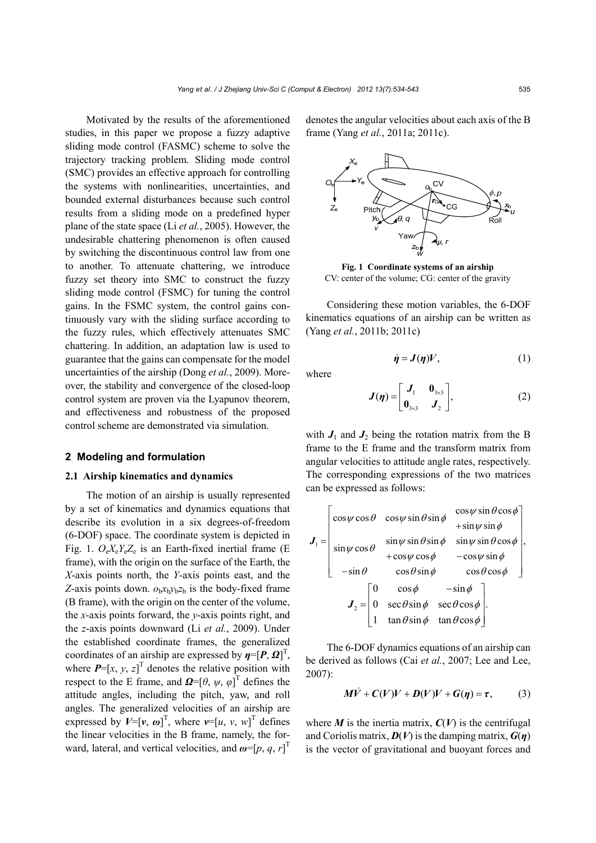Motivated by the results of the aforementioned studies, in this paper we propose a fuzzy adaptive sliding mode control (FASMC) scheme to solve the trajectory tracking problem. Sliding mode control (SMC) provides an effective approach for controlling the systems with nonlinearities, uncertainties, and bounded external disturbances because such control results from a sliding mode on a predefined hyper plane of the state space (Li *et al.*, 2005). However, the undesirable chattering phenomenon is often caused by switching the discontinuous control law from one to another. To attenuate chattering, we introduce fuzzy set theory into SMC to construct the fuzzy sliding mode control (FSMC) for tuning the control gains. In the FSMC system, the control gains continuously vary with the sliding surface according to the fuzzy rules, which effectively attenuates SMC chattering. In addition, an adaptation law is used to guarantee that the gains can compensate for the model uncertainties of the airship (Dong *et al.*, 2009). Moreover, the stability and convergence of the closed-loop control system are proven via the Lyapunov theorem, and effectiveness and robustness of the proposed control scheme are demonstrated via simulation.

## **2 Modeling and formulation**

## **2.1 Airship kinematics and dynamics**

The motion of an airship is usually represented by a set of kinematics and dynamics equations that describe its evolution in a six degrees-of-freedom (6-DOF) space. The coordinate system is depicted in Fig. 1. *O*e*X*e*Y*e*Z*<sup>e</sup> is an Earth-fixed inertial frame (E frame), with the origin on the surface of the Earth, the *X*-axis points north, the *Y*-axis points east, and the *Z*-axis points down.  $o<sub>b</sub>x<sub>b</sub>y<sub>b</sub>z<sub>b</sub>$  is the body-fixed frame (B frame), with the origin on the center of the volume, the *x*-axis points forward, the *y*-axis points right, and the *z*-axis points downward (Li *et al.*, 2009). Under the established coordinate frames, the generalized coordinates of an airship are expressed by  $\eta = [P, \Omega]^T$ , where  $P=[x, y, z]^T$  denotes the relative position with respect to the E frame, and  $\boldsymbol{\Omega} = [\theta, \psi, \varphi]^\text{T}$  defines the attitude angles, including the pitch, yaw, and roll angles. The generalized velocities of an airship are expressed by  $V=[v, \omega]^T$ , where  $v=[u, v, w]^T$  defines the linear velocities in the B frame, namely, the forward, lateral, and vertical velocities, and  $\boldsymbol{\omega} = [p, q, r]^T$ 

denotes the angular velocities about each axis of the B frame (Yang *et al.*, 2011a; 2011c).



**Fig. 1 Coordinate systems of an airship**  CV: center of the volume; CG: center of the gravity

Considering these motion variables, the 6-DOF kinematics equations of an airship can be written as (Yang *et al.*, 2011b; 2011c)

where

$$
J(\eta) = \begin{bmatrix} J_1 & 0_{3\times 3} \\ 0_{3\times 3} & J_2 \end{bmatrix},
$$
 (2)

 $\dot{\eta} = J(\eta)V$ , (1)

with  $J_1$  and  $J_2$  being the rotation matrix from the B frame to the E frame and the transform matrix from angular velocities to attitude angle rates, respectively. The corresponding expressions of the two matrices can be expressed as follows:

$$
\boldsymbol{J}_{1} = \begin{bmatrix} \cos\psi\cos\theta & \cos\psi\sin\theta\sin\phi & \cos\psi\sin\theta\cos\phi \\ \sin\psi\cos\theta & \sin\psi\sin\theta\sin\phi & \sin\psi\sin\theta\cos\phi \\ +\cos\psi\cos\phi & -\cos\psi\sin\phi \\ -\sin\theta & \cos\theta\sin\phi & \cos\theta\cos\phi \end{bmatrix},
$$

$$
\boldsymbol{J}_{2} = \begin{bmatrix} 0 & \cos\phi & -\sin\phi \\ 0 & \sec\theta\sin\phi & \sec\theta\cos\phi \\ 1 & \tan\theta\sin\phi & \tan\theta\cos\phi \end{bmatrix}.
$$

The 6-DOF dynamics equations of an airship can be derived as follows (Cai *et al.*, 2007; Lee and Lee, 2007):

$$
M\dot{V} + C(V)V + D(V)V + G(\eta) = \tau, \qquad (3)
$$

where  $M$  is the inertia matrix,  $C(V)$  is the centrifugal and Coriolis matrix,  $D(V)$  is the damping matrix,  $G(\eta)$ is the vector of gravitational and buoyant forces and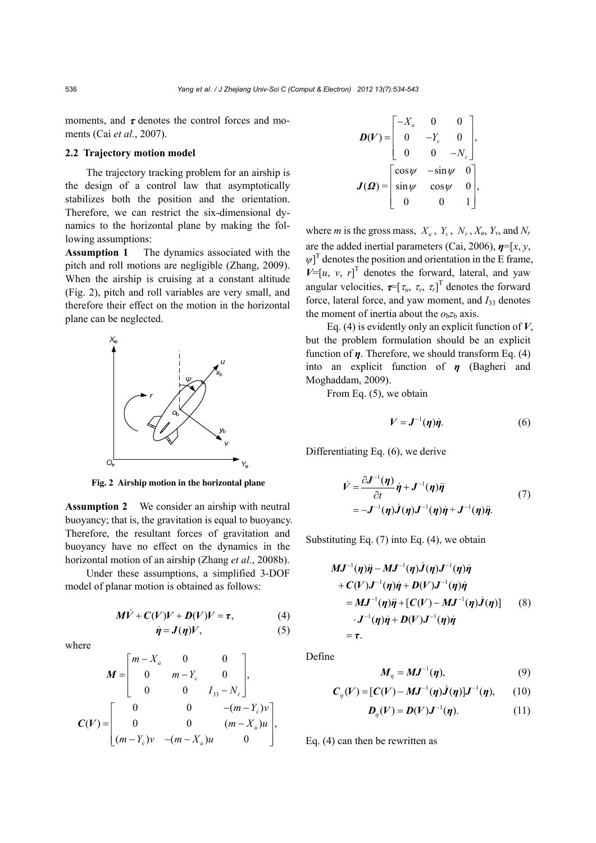moments, and  $\tau$  denotes the control forces and moments (Cai *et al.*, 2007).

## **2.2 Trajectory motion model**

The trajectory tracking problem for an airship is the design of a control law that asymptotically stabilizes both the position and the orientation. Therefore, we can restrict the six-dimensional dynamics to the horizontal plane by making the following assumptions:

**Assumption 1** The dynamics associated with the pitch and roll motions are negligible (Zhang, 2009). When the airship is cruising at a constant altitude (Fig. 2), pitch and roll variables are very small, and therefore their effect on the motion in the horizontal plane can be neglected.



**Fig. 2 Airship motion in the horizontal plane**

**Assumption 2** We consider an airship with neutral buoyancy; that is, the gravitation is equal to buoyancy. Therefore, the resultant forces of gravitation and buoyancy have no effect on the dynamics in the horizontal motion of an airship (Zhang *et al.*, 2008b).

Under these assumptions, a simplified 3-DOF model of planar motion is obtained as follows:

$$
M\dot{V} + C(V)V + D(V)V = \tau, \qquad (4)
$$

 $\dot{\eta} = J(\eta)V$ , (5)

where

$$
M = \begin{bmatrix} m - X_{u} & 0 & 0 \\ 0 & m - Y_{v} & 0 \\ 0 & 0 & I_{33} - N_{r} \end{bmatrix},
$$
  

$$
C(V) = \begin{bmatrix} 0 & 0 & -(m - Y_{v})v \\ 0 & 0 & (m - X_{u})u \\ (m - Y_{v})v & -(m - X_{u})u & 0 \end{bmatrix},
$$

$$
\boldsymbol{D}(V) = \begin{bmatrix} -X_u & 0 & 0 \\ 0 & -Y_v & 0 \\ 0 & 0 & -N_v \end{bmatrix},
$$
\n
$$
\boldsymbol{J}(\boldsymbol{\Omega}) = \begin{bmatrix} \cos\psi & -\sin\psi & 0 \\ \sin\psi & \cos\psi & 0 \\ 0 & 0 & 1 \end{bmatrix},
$$

where *m* is the gross mass,  $X_i$ ,  $Y_i$ ,  $N_i$ ,  $X_u$ ,  $Y_v$ , and  $N_r$ are the added inertial parameters (Cai, 2006), *η*=[*x*, *y*,  $\psi$ <sup>T</sup> denotes the position and orientation in the E frame,  $V=[u, v, r]^T$  denotes the forward, lateral, and yaw angular velocities,  $\boldsymbol{\tau} = [\tau_u, \tau_v, \tau_r]^T$  denotes the forward force, lateral force, and yaw moment, and *I*33 denotes the moment of inertia about the  $o<sub>b</sub>z<sub>b</sub>$  axis.

Eq. (4) is evidently only an explicit function of *V*, but the problem formulation should be an explicit function of *η*. Therefore, we should transform Eq. (4) into an explicit function of *η* (Bagheri and Moghaddam, 2009).

From Eq. (5), we obtain

$$
V = \mathbf{J}^{-1}(\boldsymbol{\eta})\dot{\boldsymbol{\eta}}.\tag{6}
$$

Differentiating Eq. (6), we derive

$$
\dot{V} = \frac{\partial J^{-1}(\eta)}{\partial t} \dot{\eta} + J^{-1}(\eta) \ddot{\eta}
$$
\n
$$
= -J^{-1}(\eta) \dot{J}(\eta) J^{-1}(\eta) \dot{\eta} + J^{-1}(\eta) \ddot{\eta}.
$$
\n(7)

Substituting Eq. (7) into Eq. (4), we obtain

$$
MJ^{-1}(\eta)\ddot{\eta} - MJ^{-1}(\eta)\dot{J}(\eta)J^{-1}(\eta)\dot{\eta}
$$
  
+  $C(V)J^{-1}(\eta)\dot{\eta} + D(V)J^{-1}(\eta)\dot{\eta}$   
=  $MJ^{-1}(\eta)\ddot{\eta} + [C(V) - MJ^{-1}(\eta)\dot{J}(\eta)]$  (8)  
 $\cdot J^{-1}(\eta)\dot{\eta} + D(V)J^{-1}(\eta)\dot{\eta}$   
=  $\tau$ .

Define

$$
M_{\eta} = MJ^{-1}(\eta), \qquad (9)
$$

$$
C_{\eta}(V) = [C(V) - MJ^{-1}(\eta)\dot{J}(\eta)]J^{-1}(\eta), \qquad (10)
$$

$$
\boldsymbol{D}_{\eta}(\boldsymbol{V}) = \boldsymbol{D}(\boldsymbol{V})\boldsymbol{J}^{-1}(\boldsymbol{\eta}).\tag{11}
$$

Eq. (4) can then be rewritten as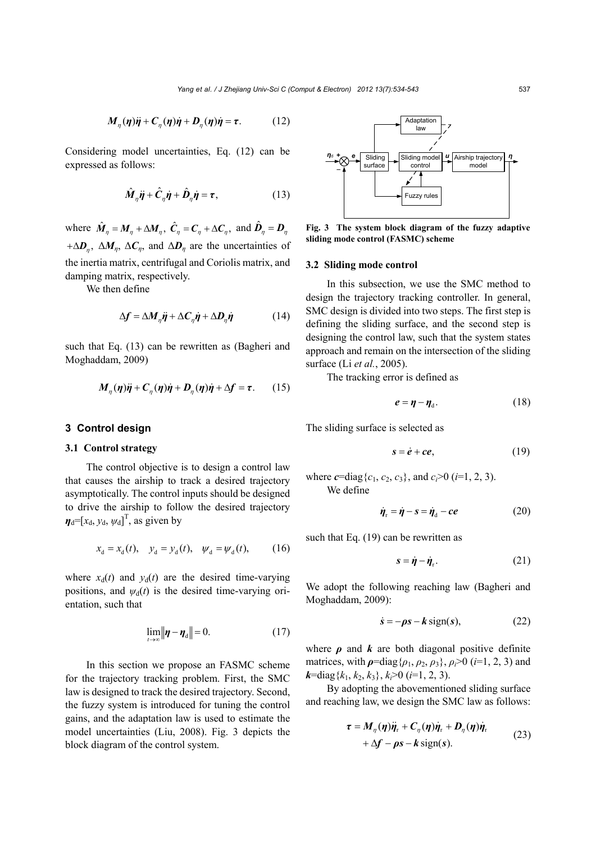$$
M_{\eta}(\eta)\ddot{\eta} + C_{\eta}(\eta)\dot{\eta} + D_{\eta}(\eta)\dot{\eta} = \tau.
$$
 (12)

Considering model uncertainties, Eq. (12) can be expressed as follows:

$$
\hat{\boldsymbol{M}}_{\eta}\ddot{\boldsymbol{\eta}} + \hat{\boldsymbol{C}}_{\eta}\dot{\boldsymbol{\eta}} + \hat{\boldsymbol{D}}_{\eta}\dot{\boldsymbol{\eta}} = \boldsymbol{\tau},\tag{13}
$$

where  $\hat{M}_\eta = M_\eta + \Delta M_\eta$ ,  $\hat{C}_\eta = C_\eta + \Delta C_\eta$ , and  $\hat{D}_\eta = D_\eta$  $+\Delta D_n$ ,  $\Delta M_n$ ,  $\Delta C_n$ , and  $\Delta D_n$  are the uncertainties of the inertia matrix, centrifugal and Coriolis matrix, and damping matrix, respectively.

We then define

$$
\Delta f = \Delta M_{\eta} \ddot{\eta} + \Delta C_{\eta} \dot{\eta} + \Delta D_{\eta} \dot{\eta}
$$
 (14)

such that Eq. (13) can be rewritten as (Bagheri and Moghaddam, 2009)

$$
M_{\eta}(\eta)\ddot{\eta} + C_{\eta}(\eta)\dot{\eta} + D_{\eta}(\eta)\dot{\eta} + \Delta f = \tau. \qquad (15)
$$

## **3 Control design**

## **3.1 Control strategy**

The control objective is to design a control law that causes the airship to track a desired trajectory asymptotically. The control inputs should be designed to drive the airship to follow the desired trajectory  $\boldsymbol{\eta}_{d} = [x_{d}, y_{d}, \psi_{d}]^{T}$ , as given by

$$
x_d = x_d(t)
$$
,  $y_d = y_d(t)$ ,  $\psi_d = \psi_d(t)$ , (16)

where  $x_d(t)$  and  $y_d(t)$  are the desired time-varying positions, and  $\psi_d(t)$  is the desired time-varying orientation, such that

$$
\lim_{t \to \infty} \|\boldsymbol{\eta} - \boldsymbol{\eta}_{\rm d}\| = 0. \tag{17}
$$

In this section we propose an FASMC scheme for the trajectory tracking problem. First, the SMC law is designed to track the desired trajectory. Second, the fuzzy system is introduced for tuning the control gains, and the adaptation law is used to estimate the model uncertainties (Liu, 2008). Fig. 3 depicts the block diagram of the control system.



**Fig. 3 The system block diagram of the fuzzy adaptive sliding mode control (FASMC) scheme** 

#### **3.2 Sliding mode control**

In this subsection, we use the SMC method to design the trajectory tracking controller. In general, SMC design is divided into two steps. The first step is defining the sliding surface, and the second step is designing the control law, such that the system states approach and remain on the intersection of the sliding surface (Li *et al.*, 2005).

The tracking error is defined as

$$
e = \eta - \eta_{d}.
$$
 (18)

The sliding surface is selected as

$$
s = \dot{e} + ce, \tag{19}
$$

where  $c = diag\{c_1, c_2, c_3\}$ , and  $c \ge 0$  (*i*=1, 2, 3). We define

$$
\dot{\eta}_r = \dot{\eta} - s = \dot{\eta}_d - ce \tag{20}
$$

such that Eq. (19) can be rewritten as

$$
s = \dot{\eta} - \dot{\eta}_r. \tag{21}
$$

We adopt the following reaching law (Bagheri and Moghaddam, 2009):

$$
\dot{s} = -\rho s - k \operatorname{sign}(s),\tag{22}
$$

where  $\rho$  and  $k$  are both diagonal positive definite matrices, with  $\rho = \text{diag}\{\rho_1, \rho_2, \rho_3\}, \rho_i > 0$  (*i*=1, 2, 3) and  $k$ =diag{ $k_1, k_2, k_3$ },  $k_i$ >0 ( $i$ =1, 2, 3).

By adopting the abovementioned sliding surface and reaching law, we design the SMC law as follows:

$$
\tau = M_{\eta}(\eta)\ddot{\eta}_{\rm r} + C_{\eta}(\eta)\dot{\eta}_{\rm r} + D_{\eta}(\eta)\dot{\eta}_{\rm r} + \Delta f - \rho s - k \operatorname{sign}(s).
$$
 (23)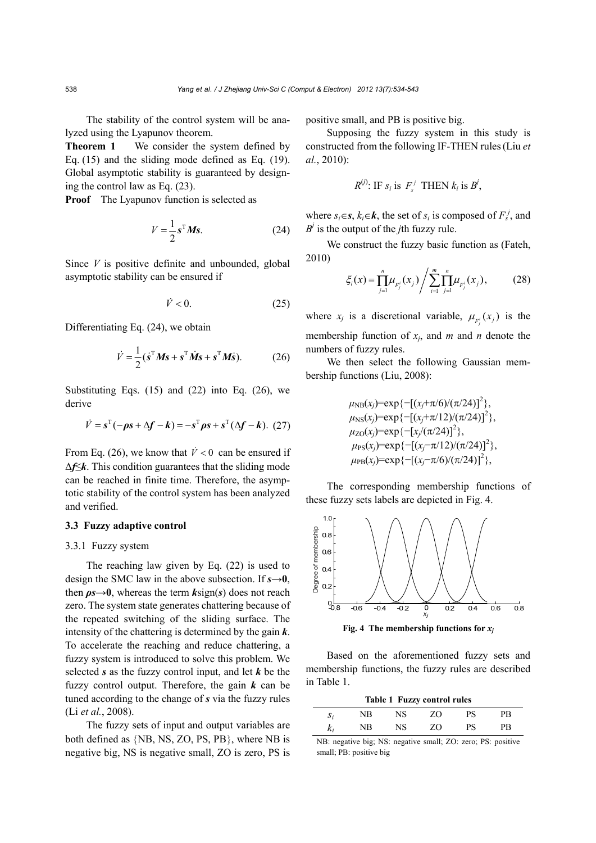The stability of the control system will be analyzed using the Lyapunov theorem.

**Theorem 1** We consider the system defined by Eq. (15) and the sliding mode defined as Eq. (19). Global asymptotic stability is guaranteed by designing the control law as Eq. (23).

**Proof** The Lyapunov function is selected as

$$
V = \frac{1}{2} \mathbf{s}^{\mathrm{T}} \mathbf{M} \mathbf{s}.\tag{24}
$$

Since *V* is positive definite and unbounded, global asymptotic stability can be ensured if

$$
\dot{V} < 0. \tag{25}
$$

Differentiating Eq. (24), we obtain

$$
\dot{V} = \frac{1}{2} (\dot{s}^{\mathrm{T}} M s + s^{\mathrm{T}} \dot{M} s + s^{\mathrm{T}} M \dot{s}). \tag{26}
$$

Substituting Eqs.  $(15)$  and  $(22)$  into Eq.  $(26)$ , we derive

$$
\dot{V} = \mathbf{s}^{\mathrm{T}}(-\rho \mathbf{s} + \Delta \mathbf{f} - \mathbf{k}) = -\mathbf{s}^{\mathrm{T}} \rho \mathbf{s} + \mathbf{s}^{\mathrm{T}}(\Delta \mathbf{f} - \mathbf{k}). \tag{27}
$$

From Eq. (26), we know that  $\dot{V} < 0$  can be ensured if Δ*f*≤*k*. This condition guarantees that the sliding mode can be reached in finite time. Therefore, the asymptotic stability of the control system has been analyzed and verified.

## **3.3 Fuzzy adaptive control**

# 3.3.1 Fuzzy system

The reaching law given by Eq. (22) is used to design the SMC law in the above subsection. If  $s \rightarrow 0$ , then  $\rho s \rightarrow 0$ , whereas the term  $k \sin(s)$  does not reach zero. The system state generates chattering because of the repeated switching of the sliding surface. The intensity of the chattering is determined by the gain *k*. To accelerate the reaching and reduce chattering, a fuzzy system is introduced to solve this problem. We selected *s* as the fuzzy control input, and let *k* be the fuzzy control output. Therefore, the gain *k* can be tuned according to the change of *s* via the fuzzy rules (Li *et al.*, 2008).

The fuzzy sets of input and output variables are both defined as  $\{NB, NS, ZO, PS, PB\}$ , where NB is negative big, NS is negative small, ZO is zero, PS is positive small, and PB is positive big.

Supposing the fuzzy system in this study is constructed from the following IF-THEN rules(Liu *et al.*, 2010):

$$
R^{(j)}: \text{IF } s_i \text{ is } F_s^j \text{ THEN } k_i \text{ is } B^j,
$$

where  $s_i \in \mathbf{s}$ ,  $k_i \in \mathbf{k}$ , the set of  $s_i$  is composed of  $F_s^j$ , and  $B^j$  is the output of the *j*th fuzzy rule.

We construct the fuzzy basic function as (Fateh, 2010)

$$
\xi_i(x) = \prod_{j=1}^n \mu_{F_j^i}(x_j) / \sum_{i=1}^m \prod_{j=1}^n \mu_{F_j^i}(x_j),
$$
 (28)

where  $x_j$  is a discretional variable,  $\mu_{F_j^i}(x_j)$  is the membership function of *xj*, and *m* and *n* denote the numbers of fuzzy rules.

We then select the following Gaussian membership functions (Liu, 2008):

> $\mu_{\text{NB}}(x_j) = \exp\{-[(x_j + \pi/6)/(\pi/24)]^2\},\$  $\mu_{\text{NS}}(x_j) = \exp\{-[(x_j + \pi/12)/(\pi/24)]^2\},\$  $\mu_{\text{ZO}}(x_j) = \exp\{-[x_j/(\pi/24)]^2\},$  $\mu_{PS}(x_j) = \exp\{-[(x_j - \pi/12)/(\pi/24)]^2\},\$  $\mu_{\text{PB}}(x_j) = \exp\{-[(x_j - \pi/6)/(\pi/24)]^2\},\$

The corresponding membership functions of these fuzzy sets labels are depicted in Fig. 4.



**Fig. 4** The membership functions for  $x_i$ 

Based on the aforementioned fuzzy sets and membership functions, the fuzzy rules are described in Table 1.

|       |    |    | Table 1 Fuzzy control rules |    |    |
|-------|----|----|-----------------------------|----|----|
| $S_i$ | NΒ | NS | ZΩ                          | PS | PR |
| $k_i$ | NB | NS | ZΩ                          | PS | PB |

NB: negative big; NS: negative small; ZO: zero; PS: positive small; PB: positive big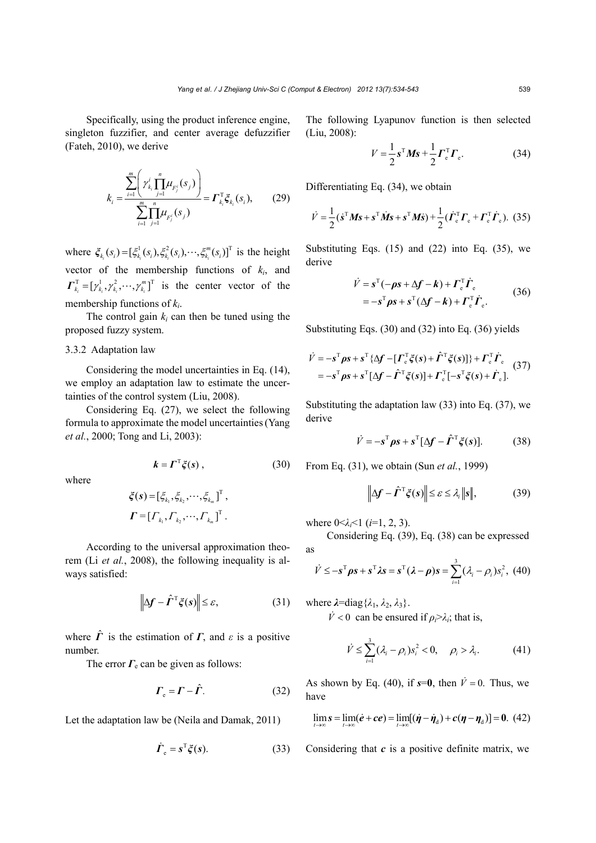Specifically, using the product inference engine, singleton fuzzifier, and center average defuzzifier (Fateh, 2010), we derive

$$
k_{i} = \frac{\sum_{i=1}^{m} \left( \gamma_{k_{i}}^{i} \prod_{j=1}^{n} \mu_{F_{j}^{i}}(s_{j}) \right)}{\sum_{i=1}^{m} \prod_{j=1}^{n} \mu_{F_{j}^{i}}(s_{j})} = \Gamma_{k_{i}}^{T} \xi_{k_{i}}(s_{i}), \qquad (29)
$$

where  $\xi_{k_i}(s_i) = [\xi_{k_i}^1(s_i), \xi_{k_i}^2(s_i), \cdots, \xi_{k_i}^m(s_i)]^T$  $\zeta_{k_i}(s_i) = [\zeta_{k_i}^1(s_i), \zeta_{k_i}^2(s_i), \cdots, \zeta_{k_i}^m(s_i)]^T$  is the height vector of the membership functions of *ki*, and  $\boldsymbol{\Gamma}_{k_i}^{\mathrm{T}} = [\gamma_{k_i}^1, \gamma_{k_i}^2, \cdots, \gamma_{k_i}^m]^{\mathrm{T}}$  is the center vector of the membership functions of *ki*.

The control gain  $k_i$  can then be tuned using the proposed fuzzy system.

# 3.3.2 Adaptation law

Considering the model uncertainties in Eq. (14), we employ an adaptation law to estimate the uncertainties of the control system (Liu, 2008).

Considering Eq. (27), we select the following formula to approximate the model uncertainties(Yang *et al.*, 2000; Tong and Li, 2003):

$$
\boldsymbol{k} = \boldsymbol{\Gamma}^{\mathrm{T}} \boldsymbol{\xi}(\boldsymbol{s}) \,, \tag{30}
$$

where

$$
\xi(\mathbf{s}) = [\xi_{k_1}, \xi_{k_2}, \cdots, \xi_{k_m}]^{T},
$$
  

$$
\boldsymbol{\Gamma} = [\Gamma_{k_1}, \Gamma_{k_2}, \cdots, \Gamma_{k_m}]^{T}.
$$

According to the universal approximation theorem (Li *et al.*, 2008), the following inequality is always satisfied:

$$
\left\| \Delta \mathbf{f} - \hat{\mathbf{\Gamma}}^{\mathrm{T}} \xi(s) \right\| \leq \varepsilon, \tag{31}
$$

where  $\hat{\mathbf{\Gamma}}$  is the estimation of  $\mathbf{\Gamma}$ , and  $\varepsilon$  is a positive number.

The error  $\Gamma_e$  can be given as follows:

$$
\boldsymbol{\Gamma}_{\rm e} = \boldsymbol{\Gamma} - \hat{\boldsymbol{\Gamma}}. \tag{32}
$$

Let the adaptation law be (Neila and Damak, 2011)

$$
\dot{\boldsymbol{\Gamma}}_{\rm e} = \boldsymbol{s}^{\rm T} \boldsymbol{\xi}(\boldsymbol{s}). \tag{33}
$$

The following Lyapunov function is then selected (Liu, 2008):

$$
V = \frac{1}{2} \mathbf{s}^{\mathrm{T}} \mathbf{M} \mathbf{s} + \frac{1}{2} \mathbf{\Gamma}_{\mathrm{e}}^{\mathrm{T}} \mathbf{\Gamma}_{\mathrm{e}}.
$$
 (34)

Differentiating Eq. (34), we obtain

$$
\dot{V} = \frac{1}{2} (\dot{s}^{\mathrm{T}} M s + s^{\mathrm{T}} \dot{M} s + s^{\mathrm{T}} M \dot{s}) + \frac{1}{2} (\dot{\boldsymbol{\Gamma}}_{\mathrm{e}}^{\mathrm{T}} \boldsymbol{\Gamma}_{\mathrm{e}} + \boldsymbol{\Gamma}_{\mathrm{e}}^{\mathrm{T}} \dot{\boldsymbol{\Gamma}}_{\mathrm{e}}).
$$
 (35)

Substituting Eqs.  $(15)$  and  $(22)$  into Eq.  $(35)$ , we derive

$$
\dot{V} = \mathbf{s}^{T}(-\rho \mathbf{s} + \Delta \mathbf{f} - \mathbf{k}) + \boldsymbol{\Gamma}_{\mathrm{e}}^{T} \dot{\boldsymbol{\Gamma}}_{\mathrm{e}}
$$
  
=  $-\mathbf{s}^{T} \rho \mathbf{s} + \mathbf{s}^{T} (\Delta \mathbf{f} - \mathbf{k}) + \boldsymbol{\Gamma}_{\mathrm{e}}^{T} \dot{\boldsymbol{\Gamma}}_{\mathrm{e}}.$  (36)

Substituting Eqs. (30) and (32) into Eq. (36) yields

$$
\dot{V} = -s^{\mathrm{T}} \rho s + s^{\mathrm{T}} \{ \Delta f - [\Gamma_{\mathrm{e}}^{\mathrm{T}} \xi(s) + \hat{\Gamma}^{\mathrm{T}} \xi(s)] \} + \Gamma_{\mathrm{e}}^{\mathrm{T}} \dot{\Gamma}_{\mathrm{e}} \n= -s^{\mathrm{T}} \rho s + s^{\mathrm{T}} [\Delta f - \hat{\Gamma}^{\mathrm{T}} \xi(s)] + \Gamma_{\mathrm{e}}^{\mathrm{T}} [-s^{\mathrm{T}} \xi(s) + \dot{\Gamma}_{\mathrm{e}}].
$$
\n(37)

Substituting the adaptation law (33) into Eq. (37), we derive

$$
\dot{V} = -s^{\mathrm{T}} \rho s + s^{\mathrm{T}} [\Delta f - \hat{\boldsymbol{\Gamma}}^{\mathrm{T}} \xi(s)]. \tag{38}
$$

From Eq. (31), we obtain (Sun *et al.*, 1999)

$$
\left\| \Delta f - \hat{\Gamma}^{\mathrm{T}} \xi(s) \right\| \leq \varepsilon \leq \lambda_i \| s \|, \tag{39}
$$

where 0<*λi*<1 (*i*=1, 2, 3).

Considering Eq. (39), Eq. (38) can be expressed as

$$
\dot{V} \leq -\mathbf{s}^{\mathrm{T}} \boldsymbol{\rho} \mathbf{s} + \mathbf{s}^{\mathrm{T}} \lambda \mathbf{s} = \mathbf{s}^{\mathrm{T}} (\boldsymbol{\lambda} - \boldsymbol{\rho}) \mathbf{s} = \sum_{i=1}^{3} (\lambda_i - \rho_i) s_i^2, \quad (40)
$$

where  $\lambda = \text{diag}\{\lambda_1, \lambda_2, \lambda_3\}.$ 

 $\dot{V}$  < 0 can be ensured if  $\rho_i > \lambda_i$ ; that is,

$$
\dot{V} \leq \sum_{i=1}^{3} (\lambda_i - \rho_i) s_i^2 < 0, \quad \rho_i > \lambda_i.
$$
 (41)

As shown by Eq. (40), if  $s=0$ , then  $\dot{V}=0$ . Thus, we have

$$
\lim_{t\to\infty} s = \lim_{t\to\infty} (\dot{e} + ce) = \lim_{t\to\infty} [(\dot{\eta} - \dot{\eta}_d) + c(\eta - \eta_d)] = 0. \tag{42}
$$

Considering that *c* is a positive definite matrix, we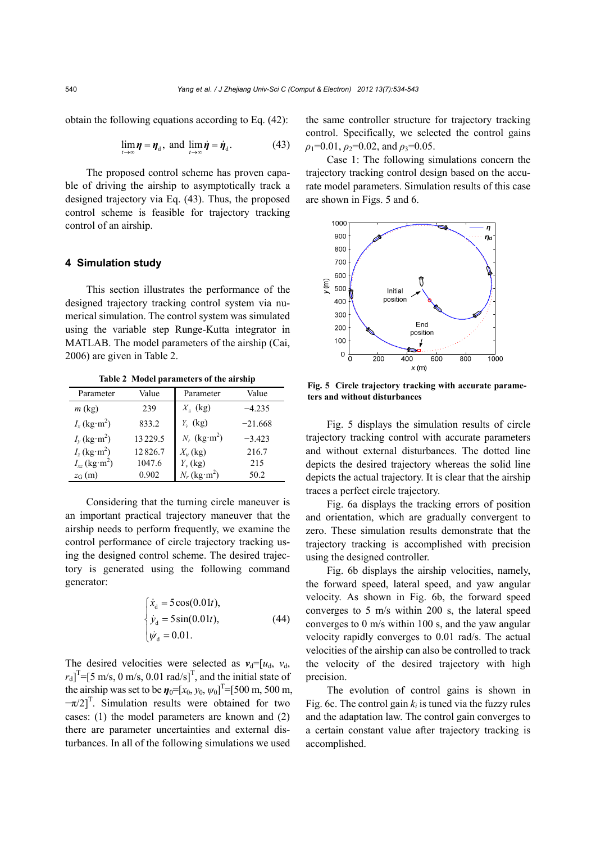obtain the following equations according to Eq. (42):

$$
\lim_{t \to \infty} \eta = \eta_{d}, \text{ and } \lim_{t \to \infty} \dot{\eta} = \dot{\eta}_{d}. \tag{43}
$$

The proposed control scheme has proven capable of driving the airship to asymptotically track a designed trajectory via Eq. (43). Thus, the proposed control scheme is feasible for trajectory tracking control of an airship.

# **4 Simulation study**

This section illustrates the performance of the designed trajectory tracking control system via numerical simulation. The control system was simulated using the variable step Runge-Kutta integrator in MATLAB. The model parameters of the airship (Cai, 2006) are given in Table 2.

**Table 2 Model parameters of the airship**

| Parameter                           | Value   | Parameter                  | Value     |
|-------------------------------------|---------|----------------------------|-----------|
| $m$ (kg)                            | 239     | $X_{\hat{u}}$ (kg)         | $-4.235$  |
| $I_x$ (kg·m <sup>2</sup> )          | 833.2   | $Y_i$ (kg)                 | $-21.668$ |
| $I_v$ (kg·m <sup>2</sup> )          | 13229.5 | $N_i$ (kg·m <sup>2</sup> ) | $-3.423$  |
| $I_z$ (kg·m <sup>2</sup> )          | 12826.7 | $X_u$ (kg)                 | 216.7     |
| $I_{xz}$ (kg·m <sup>2</sup> )       | 1047.6  | $Y_{v}$ (kg)               | 215       |
| $z_{\text{G}}\left(\text{m}\right)$ | 0.902   | $N_r$ (kg·m <sup>2</sup> ) | 50.2      |

Considering that the turning circle maneuver is an important practical trajectory maneuver that the airship needs to perform frequently, we examine the control performance of circle trajectory tracking using the designed control scheme. The desired trajectory is generated using the following command generator:

$$
\begin{cases}\n\dot{x}_d = 5\cos(0.01t), \\
\dot{y}_d = 5\sin(0.01t), \\
\dot{\psi}_d = 0.01.\n\end{cases}
$$
\n(44)

The desired velocities were selected as  $v_d=[u_d, v_d]$ ,  $r_d$ <sup>T</sup>=[5 m/s, 0 m/s, 0.01 rad/s]<sup>T</sup>, and the initial state of the airship was set to be  $\eta_0 = [x_0, y_0, \psi_0]^T = [500 \text{ m}, 500 \text{ m},$  $-\pi/2$ <sup>T</sup>. Simulation results were obtained for two cases: (1) the model parameters are known and (2) there are parameter uncertainties and external disturbances. In all of the following simulations we used

the same controller structure for trajectory tracking control. Specifically, we selected the control gains  $\rho_1$ =0.01,  $\rho_2$ =0.02, and  $\rho_3$ =0.05.

Case 1: The following simulations concern the trajectory tracking control design based on the accurate model parameters. Simulation results of this case are shown in Figs. 5 and 6.



**Fig. 5 Circle trajectory tracking with accurate parameters and without disturbances** 

Fig. 5 displays the simulation results of circle trajectory tracking control with accurate parameters and without external disturbances. The dotted line depicts the desired trajectory whereas the solid line depicts the actual trajectory. It is clear that the airship traces a perfect circle trajectory.

Fig. 6a displays the tracking errors of position and orientation, which are gradually convergent to zero. These simulation results demonstrate that the trajectory tracking is accomplished with precision using the designed controller.

Fig. 6b displays the airship velocities, namely, the forward speed, lateral speed, and yaw angular velocity. As shown in Fig. 6b, the forward speed converges to 5 m/s within 200 s, the lateral speed converges to 0 m/s within 100 s, and the yaw angular velocity rapidly converges to 0.01 rad/s. The actual velocities of the airship can also be controlled to track the velocity of the desired trajectory with high precision.

The evolution of control gains is shown in Fig. 6c. The control gain  $k_i$  is tuned via the fuzzy rules and the adaptation law. The control gain converges to a certain constant value after trajectory tracking is accomplished.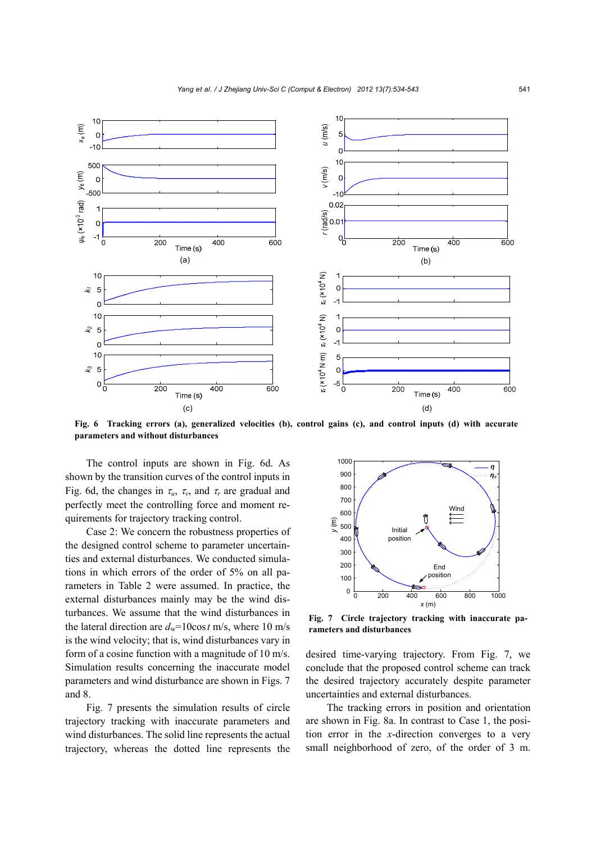

**Fig. 6 Tracking errors (a), generalized velocities (b), control gains (c), and control inputs (d) with accurate parameters and without disturbances** 

The control inputs are shown in Fig. 6d. As shown by the transition curves of the control inputs in Fig. 6d, the changes in  $\tau_u$ ,  $\tau_v$ , and  $\tau_r$  are gradual and perfectly meet the controlling force and moment requirements for trajectory tracking control.

Case 2: We concern the robustness properties of the designed control scheme to parameter uncertainties and external disturbances. We conducted simulations in which errors of the order of 5% on all parameters in Table 2 were assumed. In practice, the external disturbances mainly may be the wind disturbances. We assume that the wind disturbances in the lateral direction are  $d_w$ =10cos t m/s, where 10 m/s is the wind velocity; that is, wind disturbances vary in form of a cosine function with a magnitude of 10 m/s. Simulation results concerning the inaccurate model parameters and wind disturbance are shown in Figs. 7 and 8.

Fig. 7 presents the simulation results of circle trajectory tracking with inaccurate parameters and wind disturbances. The solid line represents the actual trajectory, whereas the dotted line represents the



**Fig. 7 Circle trajectory tracking with inaccurate parameters and disturbances** 

desired time-varying trajectory. From Fig. 7, we conclude that the proposed control scheme can track the desired trajectory accurately despite parameter uncertainties and external disturbances.

The tracking errors in position and orientation are shown in Fig. 8a. In contrast to Case 1, the position error in the *x*-direction converges to a very small neighborhood of zero, of the order of 3 m.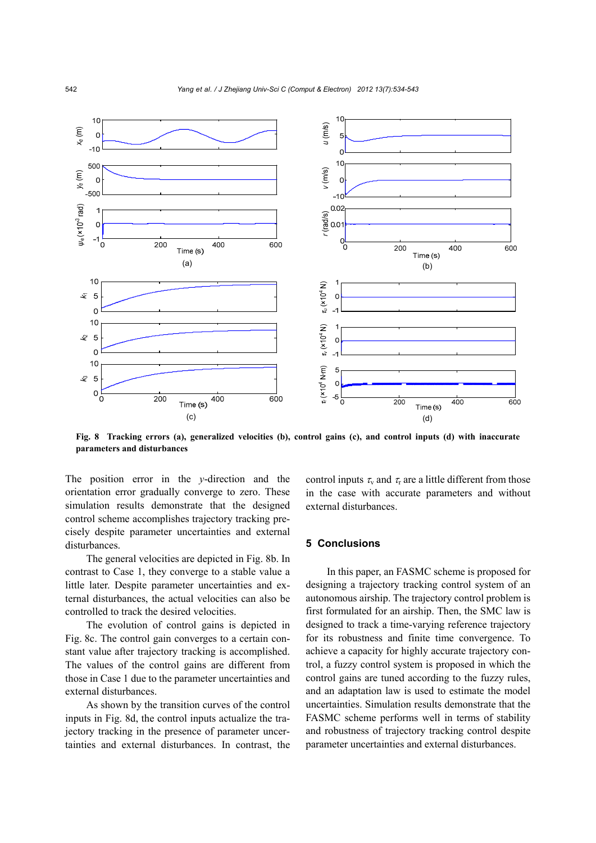

**Fig. 8 Tracking errors (a), generalized velocities (b), control gains (c), and control inputs (d) with inaccurate parameters and disturbances** 

The position error in the *y*-direction and the orientation error gradually converge to zero. These simulation results demonstrate that the designed control scheme accomplishes trajectory tracking precisely despite parameter uncertainties and external disturbances.

The general velocities are depicted in Fig. 8b. In contrast to Case 1, they converge to a stable value a little later. Despite parameter uncertainties and external disturbances, the actual velocities can also be controlled to track the desired velocities.

The evolution of control gains is depicted in Fig. 8c. The control gain converges to a certain constant value after trajectory tracking is accomplished. The values of the control gains are different from those in Case 1 due to the parameter uncertainties and external disturbances.

As shown by the transition curves of the control inputs in Fig. 8d, the control inputs actualize the trajectory tracking in the presence of parameter uncertainties and external disturbances. In contrast, the control inputs  $\tau_{\rm v}$  and  $\tau_{\rm r}$  are a little different from those in the case with accurate parameters and without external disturbances.

# **5 Conclusions**

In this paper, an FASMC scheme is proposed for designing a trajectory tracking control system of an autonomous airship. The trajectory control problem is first formulated for an airship. Then, the SMC law is designed to track a time-varying reference trajectory for its robustness and finite time convergence. To achieve a capacity for highly accurate trajectory control, a fuzzy control system is proposed in which the control gains are tuned according to the fuzzy rules, and an adaptation law is used to estimate the model uncertainties. Simulation results demonstrate that the FASMC scheme performs well in terms of stability and robustness of trajectory tracking control despite parameter uncertainties and external disturbances.